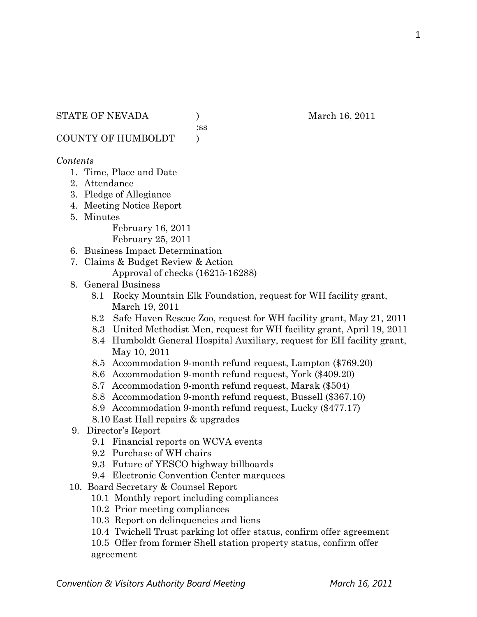## STATE OF NEVADA (a) and  $M$  and  $M$  and  $M$  and  $M$  and  $M$  and  $M$  and  $M$  and  $M$  and  $M$  and  $M$  and  $M$  and  $M$  and  $M$  and  $M$  and  $M$  and  $M$  and  $M$  and  $M$  and  $M$  and  $M$  and  $M$  and  $M$  and  $M$  and  $M$  and  $M$  an

:ss

COUNTY OF HUMBOLDT )

## *Contents*

- 1. Time, Place and Date
- 2. Attendance
- 3. Pledge of Allegiance
- 4. Meeting Notice Report
- 5. Minutes

February 16, 2011

February 25, 2011

- 6. Business Impact Determination
- 7. Claims & Budget Review & Action
	- Approval of checks (16215-16288)
- 8. General Business
	- 8.1 Rocky Mountain Elk Foundation, request for WH facility grant, March 19, 2011
	- 8.2 Safe Haven Rescue Zoo, request for WH facility grant, May 21, 2011
	- 8.3 United Methodist Men, request for WH facility grant, April 19, 2011
	- 8.4 Humboldt General Hospital Auxiliary, request for EH facility grant, May 10, 2011
	- 8.5 Accommodation 9-month refund request, Lampton (\$769.20)
	- 8.6 Accommodation 9-month refund request, York (\$409.20)
	- 8.7 Accommodation 9-month refund request, Marak (\$504)
	- 8.8 Accommodation 9-month refund request, Bussell (\$367.10)
	- 8.9 Accommodation 9-month refund request, Lucky (\$477.17)
	- 8.10 East Hall repairs & upgrades
- 9. Director's Report
	- 9.1 Financial reports on WCVA events
	- 9.2 Purchase of WH chairs
	- 9.3 Future of YESCO highway billboards
	- 9.4 Electronic Convention Center marquees
- 10. Board Secretary & Counsel Report
	- 10.1 Monthly report including compliances
	- 10.2 Prior meeting compliances
	- 10.3 Report on delinquencies and liens
	- 10.4 Twichell Trust parking lot offer status, confirm offer agreement

10.5 Offer from former Shell station property status, confirm offer agreement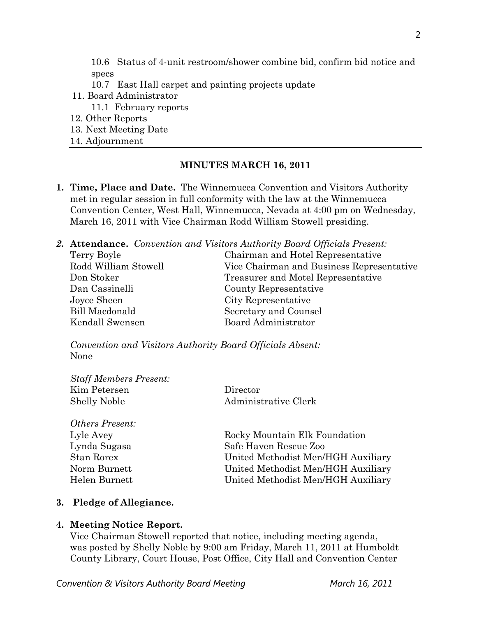10.6 Status of 4-unit restroom/shower combine bid, confirm bid notice and specs

- 10.7 East Hall carpet and painting projects update
- 11. Board Administrator
	- 11.1 February reports
- 12. Other Reports
- 13. Next Meeting Date
- 14. Adjournment

#### **MINUTES MARCH 16, 2011**

**1. Time, Place and Date.** The Winnemucca Convention and Visitors Authority met in regular session in full conformity with the law at the Winnemucca Convention Center, West Hall, Winnemucca, Nevada at 4:00 pm on Wednesday, March 16, 2011 with Vice Chairman Rodd William Stowell presiding.

|                       | <b>2. Attendance.</b> Convention and Visitors Authority Board Officials Present: |
|-----------------------|----------------------------------------------------------------------------------|
| Terry Boyle           | Chairman and Hotel Representative                                                |
| Rodd William Stowell  | Vice Chairman and Business Representative                                        |
| Don Stoker            | Treasurer and Motel Representative                                               |
| Dan Cassinelli        | County Representative                                                            |
| Joyce Sheen           | City Representative                                                              |
| <b>Bill Macdonald</b> | Secretary and Counsel                                                            |
| Kendall Swensen       | <b>Board Administrator</b>                                                       |

*Convention and Visitors Authority Board Officials Absent:*  None

| <b>Staff Members Present:</b> |                                    |
|-------------------------------|------------------------------------|
| Kim Petersen                  | Director                           |
| <b>Shelly Noble</b>           | Administrative Clerk               |
|                               |                                    |
| <b>Others Present:</b>        |                                    |
| Lyle Avey                     | Rocky Mountain Elk Foundation      |
| Lynda Sugasa                  | Safe Haven Rescue Zoo              |
| Stan Rorex                    | United Methodist Men/HGH Auxiliary |
| Norm Burnett                  | United Methodist Men/HGH Auxiliary |
| Helen Burnett                 | United Methodist Men/HGH Auxiliary |

#### **3. Pledge of Allegiance.**

#### **4. Meeting Notice Report.**

Vice Chairman Stowell reported that notice, including meeting agenda, was posted by Shelly Noble by 9:00 am Friday, March 11, 2011 at Humboldt County Library, Court House, Post Office, City Hall and Convention Center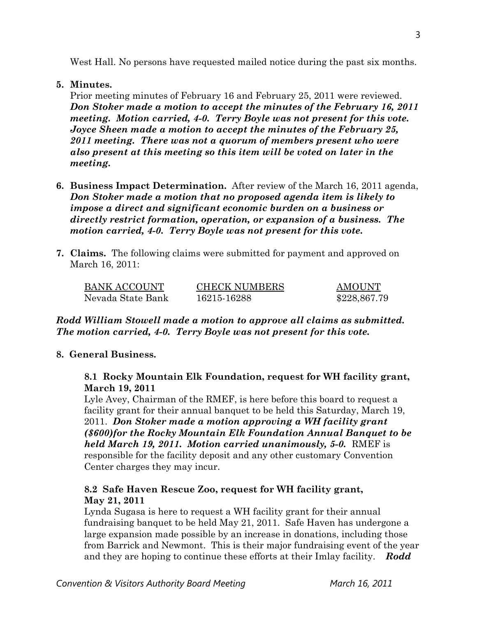# **5. Minutes.**

Prior meeting minutes of February 16 and February 25, 2011 were reviewed. *Don Stoker made a motion to accept the minutes of the February 16, 2011 meeting. Motion carried, 4-0. Terry Boyle was not present for this vote. Joyce Sheen made a motion to accept the minutes of the February 25, 2011 meeting. There was not a quorum of members present who were also present at this meeting so this item will be voted on later in the meeting.* 

- **6. Business Impact Determination.** After review of the March 16, 2011 agenda, *Don Stoker made a motion that no proposed agenda item is likely to impose a direct and significant economic burden on a business or directly restrict formation, operation, or expansion of a business. The motion carried, 4-0. Terry Boyle was not present for this vote.*
- **7. Claims.** The following claims were submitted for payment and approved on March 16, 2011:

| <b>BANK ACCOUNT</b> | <b>CHECK NUMBERS</b> | <b>AMOUNT</b> |
|---------------------|----------------------|---------------|
| Nevada State Bank   | 16215-16288          | \$228,867.79  |

*Rodd William Stowell made a motion to approve all claims as submitted. The motion carried, 4-0. Terry Boyle was not present for this vote.* 

# **8. General Business.**

 **8.1 Rocky Mountain Elk Foundation, request for WH facility grant, March 19, 2011** 

Lyle Avey, Chairman of the RMEF, is here before this board to request a facility grant for their annual banquet to be held this Saturday, March 19, 2011. *Don Stoker made a motion approving a WH facility grant (\$600)for the Rocky Mountain Elk Foundation Annual Banquet to be held March 19, 2011. Motion carried unanimously, 5-0.* RMEF is responsible for the facility deposit and any other customary Convention Center charges they may incur.

# **8.2 Safe Haven Rescue Zoo, request for WH facility grant, May 21, 2011**

Lynda Sugasa is here to request a WH facility grant for their annual fundraising banquet to be held May 21, 2011. Safe Haven has undergone a large expansion made possible by an increase in donations, including those from Barrick and Newmont. This is their major fundraising event of the year and they are hoping to continue these efforts at their Imlay facility. *Rodd*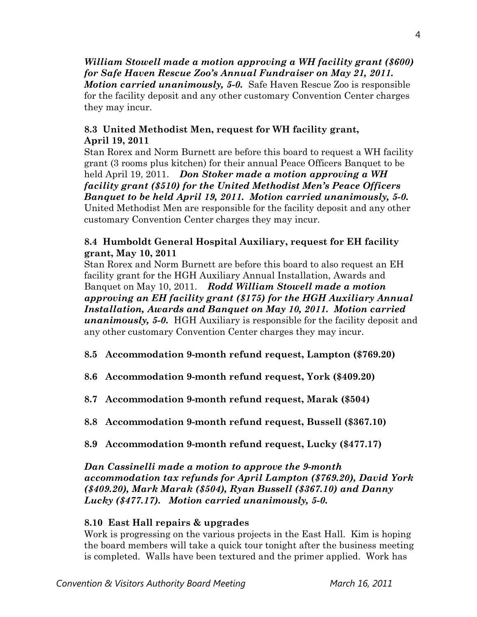*William Stowell made a motion approving a WH facility grant (\$600) for Safe Haven Rescue Zoo's Annual Fundraiser on May 21, 2011. Motion carried unanimously, 5-0.* Safe Haven Rescue Zoo is responsible for the facility deposit and any other customary Convention Center charges they may incur.

# **8.3 United Methodist Men, request for WH facility grant, April 19, 2011**

Stan Rorex and Norm Burnett are before this board to request a WH facility grant (3 rooms plus kitchen) for their annual Peace Officers Banquet to be held April 19, 2011. *Don Stoker made a motion approving a WH facility grant (\$510) for the United Methodist Men's Peace Officers Banquet to be held April 19, 2011. Motion carried unanimously, 5-0.*  United Methodist Men are responsible for the facility deposit and any other customary Convention Center charges they may incur.

# **8.4 Humboldt General Hospital Auxiliary, request for EH facility grant, May 10, 2011**

Stan Rorex and Norm Burnett are before this board to also request an EH facility grant for the HGH Auxiliary Annual Installation, Awards and Banquet on May 10, 2011. *Rodd William Stowell made a motion approving an EH facility grant (\$175) for the HGH Auxiliary Annual Installation, Awards and Banquet on May 10, 2011. Motion carried unanimously, 5-0.* HGH Auxiliary is responsible for the facility deposit and any other customary Convention Center charges they may incur.

- **8.5 Accommodation 9-month refund request, Lampton (\$769.20)**
- **8.6 Accommodation 9-month refund request, York (\$409.20)**
- **8.7 Accommodation 9-month refund request, Marak (\$504)**
- **8.8 Accommodation 9-month refund request, Bussell (\$367.10)**
- **8.9 Accommodation 9-month refund request, Lucky (\$477.17)**

*Dan Cassinelli made a motion to approve the 9-month accommodation tax refunds for April Lampton (\$769.20), David York (\$409.20), Mark Marak (\$504), Ryan Bussell (\$367.10) and Danny Lucky (\$477.17). Motion carried unanimously, 5-0.*

# **8.10 East Hall repairs & upgrades**

Work is progressing on the various projects in the East Hall. Kim is hoping the board members will take a quick tour tonight after the business meeting is completed. Walls have been textured and the primer applied. Work has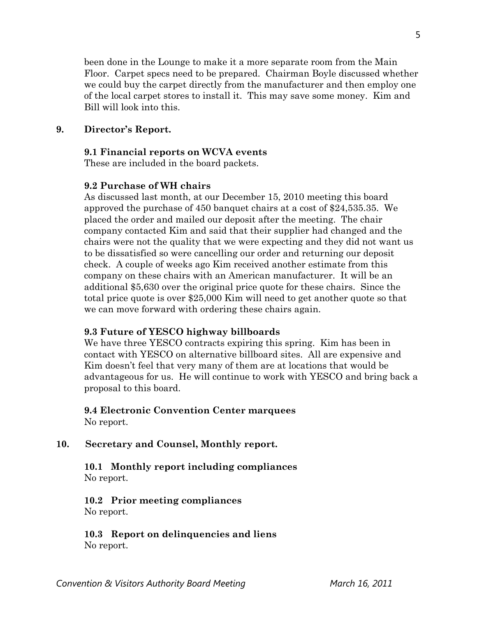been done in the Lounge to make it a more separate room from the Main Floor. Carpet specs need to be prepared. Chairman Boyle discussed whether we could buy the carpet directly from the manufacturer and then employ one of the local carpet stores to install it. This may save some money. Kim and Bill will look into this.

## **9. Director's Report.**

#### **9.1 Financial reports on WCVA events**

These are included in the board packets.

## **9.2 Purchase of WH chairs**

As discussed last month, at our December 15, 2010 meeting this board approved the purchase of 450 banquet chairs at a cost of \$24,535.35. We placed the order and mailed our deposit after the meeting. The chair company contacted Kim and said that their supplier had changed and the chairs were not the quality that we were expecting and they did not want us to be dissatisfied so were cancelling our order and returning our deposit check. A couple of weeks ago Kim received another estimate from this company on these chairs with an American manufacturer. It will be an additional \$5,630 over the original price quote for these chairs. Since the total price quote is over \$25,000 Kim will need to get another quote so that we can move forward with ordering these chairs again.

### **9.3 Future of YESCO highway billboards**

We have three YESCO contracts expiring this spring. Kim has been in contact with YESCO on alternative billboard sites. All are expensive and Kim doesn't feel that very many of them are at locations that would be advantageous for us. He will continue to work with YESCO and bring back a proposal to this board.

#### **9.4 Electronic Convention Center marquees**  No report.

### **10. Secretary and Counsel, Monthly report.**

## **10.1 Monthly report including compliances**  No report.

## **10.2 Prior meeting compliances**  No report.

 **10.3 Report on delinquencies and liens**  No report.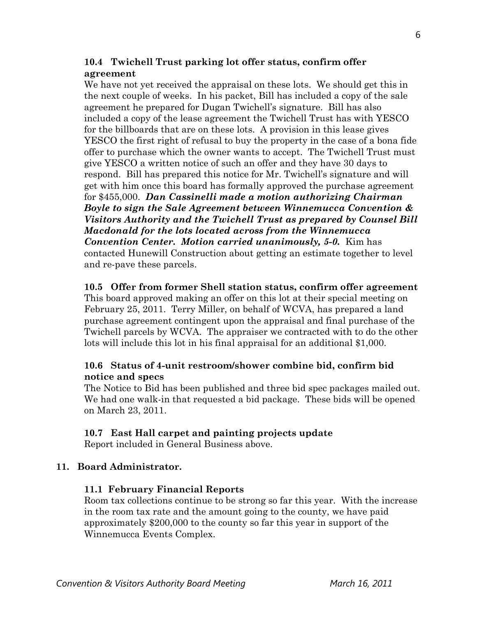# **10.4 Twichell Trust parking lot offer status, confirm offer agreement**

We have not yet received the appraisal on these lots. We should get this in the next couple of weeks. In his packet, Bill has included a copy of the sale agreement he prepared for Dugan Twichell's signature. Bill has also included a copy of the lease agreement the Twichell Trust has with YESCO for the billboards that are on these lots. A provision in this lease gives YESCO the first right of refusal to buy the property in the case of a bona fide offer to purchase which the owner wants to accept. The Twichell Trust must give YESCO a written notice of such an offer and they have 30 days to respond. Bill has prepared this notice for Mr. Twichell's signature and will get with him once this board has formally approved the purchase agreement for \$455,000. *Dan Cassinelli made a motion authorizing Chairman Boyle to sign the Sale Agreement between Winnemucca Convention & Visitors Authority and the Twichell Trust as prepared by Counsel Bill Macdonald for the lots located across from the Winnemucca Convention Center. Motion carried unanimously, 5-0.* Kim has contacted Hunewill Construction about getting an estimate together to level and re-pave these parcels.

# **10.5 Offer from former Shell station status, confirm offer agreement**

This board approved making an offer on this lot at their special meeting on February 25, 2011. Terry Miller, on behalf of WCVA, has prepared a land purchase agreement contingent upon the appraisal and final purchase of the Twichell parcels by WCVA. The appraiser we contracted with to do the other lots will include this lot in his final appraisal for an additional \$1,000.

# **10.6 Status of 4-unit restroom/shower combine bid, confirm bid notice and specs**

The Notice to Bid has been published and three bid spec packages mailed out. We had one walk-in that requested a bid package. These bids will be opened on March 23, 2011.

# **10.7 East Hall carpet and painting projects update**

Report included in General Business above.

# **11. Board Administrator.**

## **11.1 February Financial Reports**

Room tax collections continue to be strong so far this year. With the increase in the room tax rate and the amount going to the county, we have paid approximately \$200,000 to the county so far this year in support of the Winnemucca Events Complex.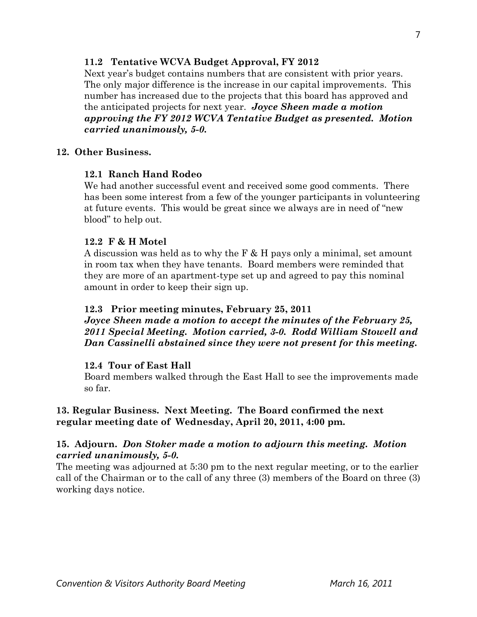# **11.2 Tentative WCVA Budget Approval, FY 2012**

Next year's budget contains numbers that are consistent with prior years. The only major difference is the increase in our capital improvements. This number has increased due to the projects that this board has approved and the anticipated projects for next year. *Joyce Sheen made a motion approving the FY 2012 WCVA Tentative Budget as presented. Motion carried unanimously, 5-0.* 

## **12. Other Business.**

## **12.1 Ranch Hand Rodeo**

We had another successful event and received some good comments. There has been some interest from a few of the younger participants in volunteering at future events. This would be great since we always are in need of "new blood" to help out.

### **12.2 F & H Motel**

A discussion was held as to why the F & H pays only a minimal, set amount in room tax when they have tenants. Board members were reminded that they are more of an apartment-type set up and agreed to pay this nominal amount in order to keep their sign up.

### **12.3 Prior meeting minutes, February 25, 2011**

*Joyce Sheen made a motion to accept the minutes of the February 25, 2011 Special Meeting. Motion carried, 3-0. Rodd William Stowell and Dan Cassinelli abstained since they were not present for this meeting.* 

### **12.4 Tour of East Hall**

Board members walked through the East Hall to see the improvements made so far.

## **13. Regular Business. Next Meeting. The Board confirmed the next regular meeting date of Wednesday, April 20, 2011, 4:00 pm.**

## **15. Adjourn.** *Don Stoker made a motion to adjourn this meeting. Motion carried unanimously, 5-0.*

The meeting was adjourned at 5:30 pm to the next regular meeting, or to the earlier call of the Chairman or to the call of any three (3) members of the Board on three (3) working days notice.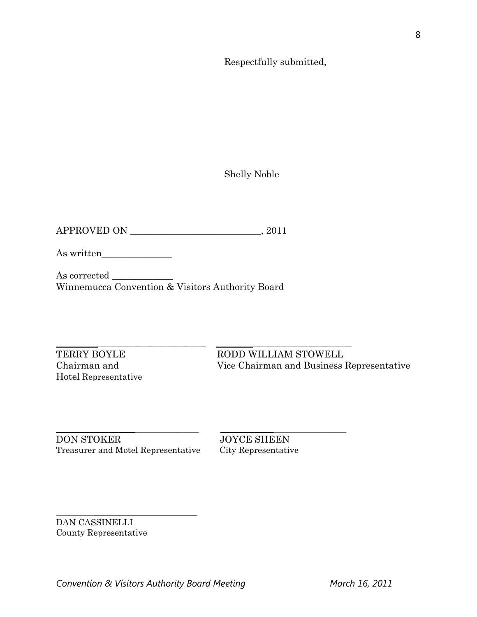Respectfully submitted,

Shelly Noble

APPROVED ON \_\_\_\_\_\_\_\_\_\_\_\_\_\_\_\_\_\_\_\_\_\_\_\_\_\_\_\_, 2011

As written\_\_\_\_\_\_\_\_\_\_\_\_\_\_\_

As corrected Winnemucca Convention & Visitors Authority Board

Hotel Representative

\_\_\_\_\_\_\_\_\_\_\_\_\_\_\_\_\_\_\_\_\_\_\_\_\_\_\_\_\_\_\_\_ \_\_\_\_\_\_\_\_\_\_\_\_\_\_\_\_\_\_\_\_\_\_\_\_\_\_\_\_\_ TERRY BOYLE RODD WILLIAM STOWELL Chairman and Vice Chairman and Business Representative

DON STOKER JOYCE SHEEN Treasurer and Motel Representative City Representative

\_\_\_\_\_\_\_\_\_\_\_\_\_\_\_\_\_\_\_\_\_\_\_\_\_\_\_\_\_\_\_\_\_

\_\_\_\_\_\_\_\_\_ \_ \_\_\_\_\_\_\_\_\_\_\_\_\_\_\_ \_\_\_\_\_\_\_\_ \_\_\_\_\_\_\_\_\_\_\_\_\_\_\_\_\_

DAN CASSINELLI County Representative